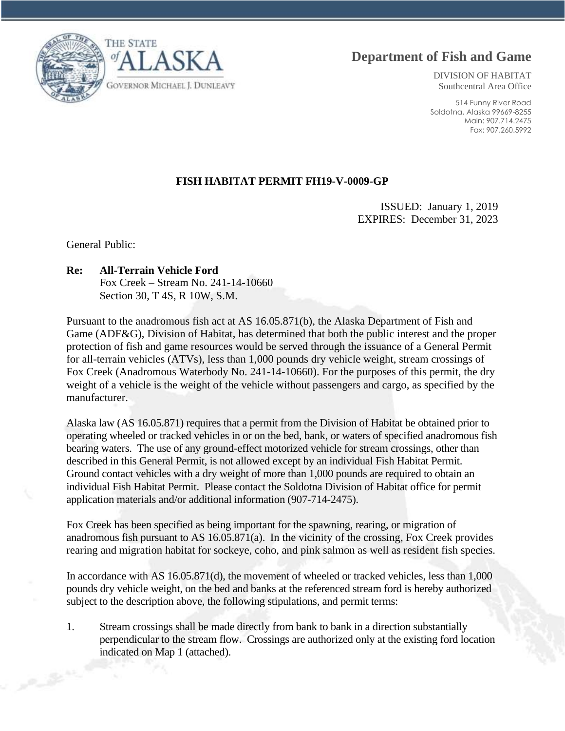**Department of Fish and Game**

THE STATE **GOVERNOR MICHAEL J. DUNLEAVY** 

DIVISION OF HABITAT Southcentral Area Office

514 Funny River Road Soldotna, Alaska 99669-8255 Main: 907.714.2475 Fax: 907.260.5992

## **FISH HABITAT PERMIT FH19-V-0009-GP**

ISSUED: January 1, 2019 EXPIRES: December 31, 2023

General Public:

## **Re: All-Terrain Vehicle Ford**

Fox Creek – Stream No. 241-14-10660 Section 30, T 4S, R 10W, S.M.

Pursuant to the anadromous fish act at AS 16.05.871(b), the Alaska Department of Fish and Game (ADF&G), Division of Habitat, has determined that both the public interest and the proper protection of fish and game resources would be served through the issuance of a General Permit for all-terrain vehicles (ATVs), less than 1,000 pounds dry vehicle weight, stream crossings of Fox Creek (Anadromous Waterbody No. 241-14-10660). For the purposes of this permit, the dry weight of a vehicle is the weight of the vehicle without passengers and cargo, as specified by the manufacturer.

Alaska law (AS 16.05.871) requires that a permit from the Division of Habitat be obtained prior to operating wheeled or tracked vehicles in or on the bed, bank, or waters of specified anadromous fish bearing waters. The use of any ground-effect motorized vehicle for stream crossings, other than described in this General Permit, is not allowed except by an individual Fish Habitat Permit. Ground contact vehicles with a dry weight of more than 1,000 pounds are required to obtain an individual Fish Habitat Permit. Please contact the Soldotna Division of Habitat office for permit application materials and/or additional information (907-714-2475).

Fox Creek has been specified as being important for the spawning, rearing, or migration of anadromous fish pursuant to AS 16.05.871(a). In the vicinity of the crossing, Fox Creek provides rearing and migration habitat for sockeye, coho, and pink salmon as well as resident fish species.

In accordance with AS 16.05.871(d), the movement of wheeled or tracked vehicles, less than 1,000 pounds dry vehicle weight, on the bed and banks at the referenced stream ford is hereby authorized subject to the description above, the following stipulations, and permit terms:

1. Stream crossings shall be made directly from bank to bank in a direction substantially perpendicular to the stream flow. Crossings are authorized only at the existing ford location indicated on Map 1 (attached).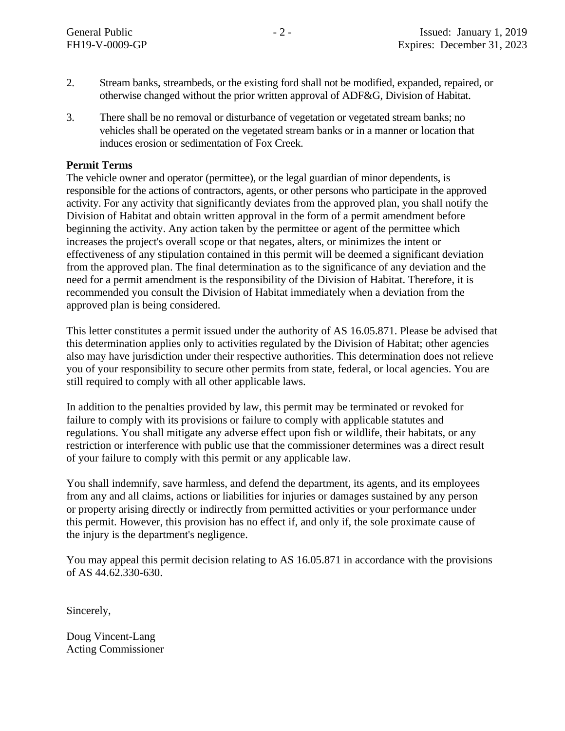- 2. Stream banks, streambeds, or the existing ford shall not be modified, expanded, repaired, or otherwise changed without the prior written approval of ADF&G, Division of Habitat.
- 3. There shall be no removal or disturbance of vegetation or vegetated stream banks; no vehicles shall be operated on the vegetated stream banks or in a manner or location that induces erosion or sedimentation of Fox Creek.

## **Permit Terms**

The vehicle owner and operator (permittee), or the legal guardian of minor dependents, is responsible for the actions of contractors, agents, or other persons who participate in the approved activity. For any activity that significantly deviates from the approved plan, you shall notify the Division of Habitat and obtain written approval in the form of a permit amendment before beginning the activity. Any action taken by the permittee or agent of the permittee which increases the project's overall scope or that negates, alters, or minimizes the intent or effectiveness of any stipulation contained in this permit will be deemed a significant deviation from the approved plan. The final determination as to the significance of any deviation and the need for a permit amendment is the responsibility of the Division of Habitat. Therefore, it is recommended you consult the Division of Habitat immediately when a deviation from the approved plan is being considered.

This letter constitutes a permit issued under the authority of AS 16.05.871. Please be advised that this determination applies only to activities regulated by the Division of Habitat; other agencies also may have jurisdiction under their respective authorities. This determination does not relieve you of your responsibility to secure other permits from state, federal, or local agencies. You are still required to comply with all other applicable laws.

In addition to the penalties provided by law, this permit may be terminated or revoked for failure to comply with its provisions or failure to comply with applicable statutes and regulations. You shall mitigate any adverse effect upon fish or wildlife, their habitats, or any restriction or interference with public use that the commissioner determines was a direct result of your failure to comply with this permit or any applicable law.

You shall indemnify, save harmless, and defend the department, its agents, and its employees from any and all claims, actions or liabilities for injuries or damages sustained by any person or property arising directly or indirectly from permitted activities or your performance under this permit. However, this provision has no effect if, and only if, the sole proximate cause of the injury is the department's negligence.

You may appeal this permit decision relating to AS 16.05.871 in accordance with the provisions of AS 44.62.330-630.

Sincerely,

Doug Vincent-Lang Acting Commissioner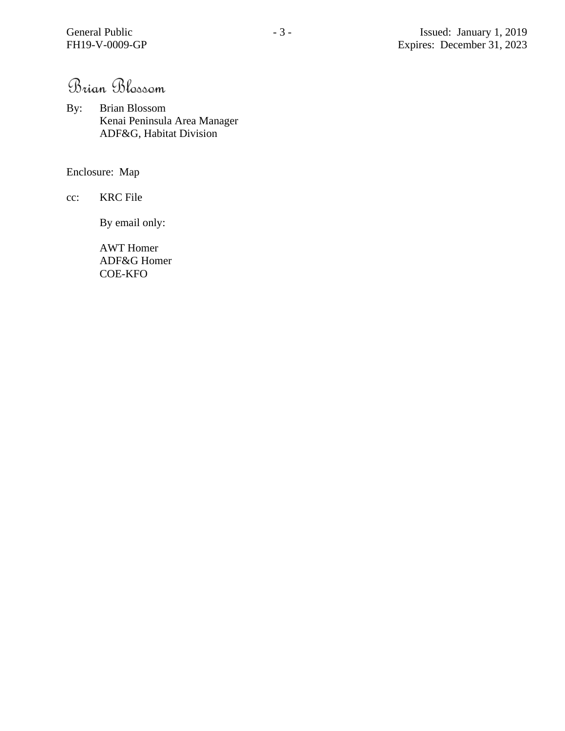Brian Blossom

By: Brian Blossom Kenai Peninsula Area Manager ADF&G, Habitat Division

Enclosure: Map

cc: KRC File

By email only:

AWT Homer ADF&G Homer COE-KFO